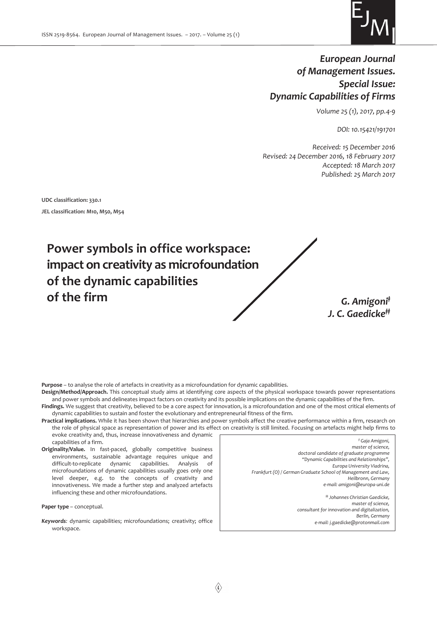

# *European Journal of Management Issues. Special Issue: Dynamic Capabilities of Firms*

*Volume 25 (1), 2017, pp.4-9* 

*DOI: 10.15421/191701* 

*Received: 15 December 2016 Revised: 24 December 2016, 18 February 2017 Accepted: 18 March 2017 Published: 25 March 2017* 

**UDC classification: 330.1** 

**JEL classification: M10, M50, M54** 



*J. C. Gaedicke‡‡*

**Purpose** – to analyse the role of artefacts in creativity as a microfoundation for dynamic capabilities.

- **Design/Method/Approach.** This conceptual study aims at identifying core aspects of the physical workspace towards power representations and power symbols and delineates impact factors on creativity and its possible implications on the dynamic capabilities of the firm. **Findings.** We suggest that creativity, believed to be a core aspect for innovation, is a microfoundation and one of the most critical elements of
- dynamic capabilities to sustain and foster the evolutionary and entrepreneurial fitness of the firm. **Practical implications.** While it has been shown that hierarchies and power symbols affect the creative performance within a firm, research on
- the role of physical space as representation of power and its effect on creativity is still limited. Focusing on artefacts might help firms to evoke creativity and, thus, increase innovativeness and dynamic capabilities of a firm.
- **Originality/Value.** In fast-paced, globally competitive business environments, sustainable advantage requires unique and difficult-to-replicate dynamic capabilities. Analysis of microfoundations of dynamic capabilities usually goes only one level deeper, e.g. to the concepts of creativity and innovativeness. We made a further step and analyzed artefacts influencing these and other microfoundations.

**Paper type** – conceptual.

*Keywords:* dynamic capabilities; microfoundations; creativity; office workspace.

*‡ Gaja Amigoni, master of science, doctoral candidate of graduate programme "Dynamic Capabilities and Relationships", Europa University Viadrina, Frankfurt (O) / German Graduate School of Management and Law, Heilbronn, Germany e-mail: amigoni@europa-uni.de ‡‡ Johannes Christian Gaedicke, master of science, сonsultant for innovation and digitalization, Berlin, Germany e-mail: j.gaedicke@protonmail.com*

 $\langle\!\!\langle 4\rangle\!\!\rangle$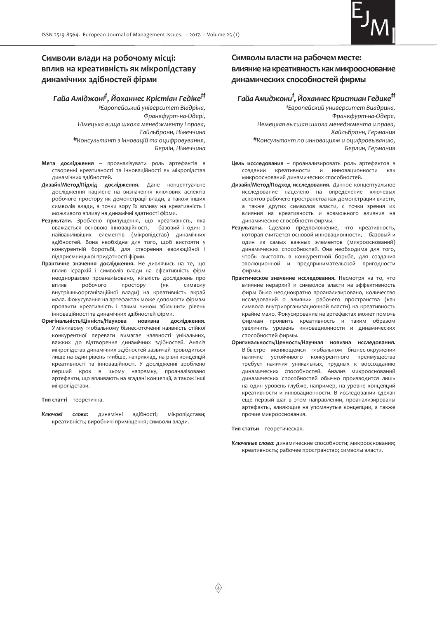

## **Символи влади на робочому місці: вплив на креативність як мікропідставу динамічних здібностей фірми**

*Гайа Аміджоні‡ , Йоханнес Крістіан Гедіке‡‡*

*‡Європейський університет Віадріна, Франкфурт-на-Одері, Німецька вища школа менеджменту і права, Гайльбронн, Німеччина ‡‡Консультант з інновацій та оцифровування, Берлін, Німеччина*

- **Мета дослідження** проаналізувати роль артефактів в створенні креативності та інноваційності як мікропідстав динамічних здібностей.
- **Дизайн/Метод/Підхід дослідження.** Дане концептуальне дослідження націлене на визначення ключових аспектів робочого простору як демонстрації влади, а також інших символів влади, з точки зору їх впливу на креативність і можливого впливу на динамічні здатності фірми.
- **Результати.** Зроблено припущення, що креативність, яка вважається основою інноваційності, – базовий і один з найважливіших елементів (мікропідстав) динамічних здібностей. Вона необхідна для того, щоб вистояти у конкурентній боротьбі, для створення еволюційної і підприємницької придатності фірми.
- **Практичне значення дослідження.** Не дивлячись на те, що вплив ієрархій і символів влади на ефективність фірм неодноразово проаналізовано, кількість досліджень про<br>вплив робочого простору (як символу вплив робочого простору (як символу внутрішньоорганізаційної влади) на креативність вкрай мала. Фокусування на артефактах може допомогти фірмам проявити креативність і таким чином збільшити рівень інноваційності та динамічних здібностей фірми.
- **Оригінальність/Цінність/Наукова новизна дослідження.** У мінливому глобальному бізнес-оточенні наявність стійкої конкурентної переваги вимагає наявності унікальних, важких до відтворення динамічних здібностей. Аналіз мікропідстав динамічних здібностей зазвичай проводиться лише на один рівень глибше, наприклад, на рівні концепцій креативності та інноваційності. У дослідженні зроблено перший крок в цьому напрямку, проаналізовано артефакти, що впливають на згадані концепції, а також інші мікропідстави.

**Тип статті** – теоретична.

*Ключові слова:* динамічні здібності; мікропідстави; креативність; виробничі приміщення; символи влади.

## **Символы власти на рабочем месте:**  влияние на креативность как микрооснование **динамических способностей фирмы**

# *Гайа Амиджони‡ , Йоханнес Кристиан Гедике‡‡*

*‡Европейский университет Виадрина, Франкфурт-на-Одере, Немецкая высшая школа менеджмента и права, Хайльбронн, Германия ‡‡Консультант по инновациям и оцифровыванию, Берлин, Германия*

- **Цель исследования** проанализировать роль артефактов в создании креативности и инновационности как микрооснований динамических способностей.
- **Дизайн/Метод/Подход исследования.** Данное концептуальное исследование нацелено на определение ключевых аспектов рабочего пространства как демонстрации власти, а также других символов власти, с точки зрения их влияния на креативность и возможного влияния на динамические способности фирмы.
- **Результаты.** Сделано предположение, что креативность, которая считается основой инновационности, – базовый и один из самых важных элементов (микрооснований) динамических способностей. Она необходима для того, чтобы выстоять в конкурентной борьбе, для создания эволюционной и предпринимательской пригодности фирмы.
- **Практическое значение исследования.** Несмотря на то, что влияние иерархий и символов власти на эффективность фирм было неоднократно проанализировано, количество исследований о влиянии рабочего пространства (как символа внутриорганизационной власти) на креативность крайне мало. Фокусирование на артефактах может помочь фирмам проявить креативность и таким образом увеличить уровень инновационности и динамических способностей фирмы.
- **Оригинальность/Ценность/Научная новизна исследования.** В быстро меняющемся глобальном бизнес-окружении наличие устойчивого конкурентного преимущества требует наличия уникальных, трудных к воссозданию динамических способностей. Анализ микрооснований динамических способностей обычно производится лишь на один уровень глубже, например, на уровне концепций креативности и инновационности. В исследовании сделан еще первый шаг в этом направлении, проанализированы артефакты, влияющие на упомянутые концепции, а также прочие микрооснования.

**Тип статьи** – теоретическая.

*Ключевые слова:* динамические способности; микрооснования; креативность; рабочее пространство; символы власти.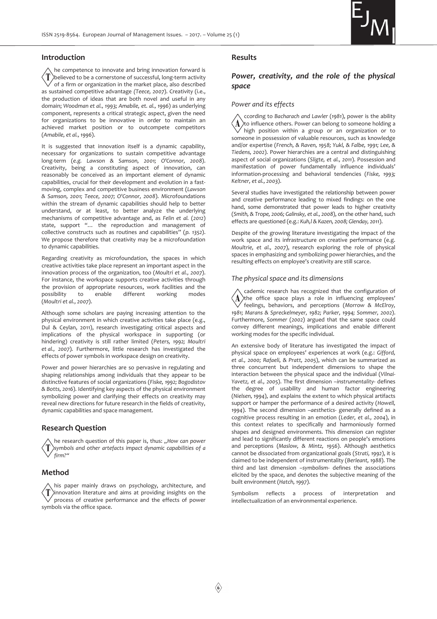

### **Introduction**

he competence to innovate and bring innovation forward is  $\langle T \rangle$ believed to be a cornerstone of successful, long-term activity of a firm or organization in the market place, also described as sustained competitive advantage *(Teece, 2007*). Creativity (i.e., the production of ideas that are both novel and useful in any domain; *Woodman et al., 1993; Amabile, et. al., 1996*) as underlying component, represents a critical strategic aspect, given the need for organizations to be innovative in order to maintain an achieved market position or to outcompete competitors (*Amabile, et al., 1996*).

It is suggested that innovation itself is a dynamic capability, necessary for organizations to sustain competitive advantage long-term (*e.g. Lawson & Samson, 2001; O'Connor, 2008*). Creativity, being a constituting aspect of innovation, can reasonably be conceived as an important element of dynamic capabilities, crucial for their development and evolution in a fastmoving, complex and competitive business environment (*Lawson & Samson, 2001; Teece, 2007; O'Connor, 2008*). Microfoundations within the stream of dynamic capabilities should help to better understand, or at least, to better analyze the underlying mechanisms of competitive advantage and, as *Felin et al.* (*2012*) state, support "… the reproduction and management of collective constructs such as routines and capabilities" (*p. 1352*). We propose therefore that creativity may be a microfoundation to dynamic capabilities.

Regarding creativity as microfoundation, the spaces in which creative activities take place represent an important aspect in the innovation process of the organization, too (*Moultri et al., 2007*). For instance, the workspace supports creative activities through the provision of appropriate resources, work facilities and the possibility to enable different working modes possibility to enable different working modes (*Moultri et al., 2007*).

Although some scholars are paying increasing attention to the physical environment in which creative activities take place (e.g., Dul & Ceylan, 2011), research investigating critical aspects and implications of the physical workspace in supporting (or hindering) creativity is still rather limited (*Peters, 1992; Moultri et al., 2007*). Furthermore, little research has investigated the effects of power symbols in workspace design on creativity.

Power and power hierarchies are so pervasive in regulating and shaping relationships among individuals that they appear to be distinctive features of social organizations (*Fiske, 1992; Bogodistov & Botts, 2016*). Identifying key aspects of the physical environment symbolizing power and clarifying their effects on creativity may reveal new directions for future research in the fields of creativity, dynamic capabilities and space management.

#### **Research Question**

he research question of this paper is, thus: "How can power *symbols and other artefacts impact dynamic capabilities of a firm?"*

## **Method**

his paper mainly draws on psychology, architecture, and innovation literature and aims at providing insights on the process of creative performance and the effects of power symbols via the office space.

#### **Results**

## *Power, creativity, and the role of the physical space*

## *Power and its effects*

ccording to *Bacharach and Lawler* (*1981*), power is the ability  $\Lambda$ to influence others. Power can belong to someone holding a high position within a group or an organization or to someone in possession of valuable resources, such as knowledge and/or expertise (*French, & Raven, 1958; Yukl, & Falbe, 1991; Lee, & Tiedens, 2002*). Power hierarchies are a central and distinguishing aspect of social organizations (*Sligte, et al., 2011*). Possession and manifestation of power fundamentally influence individuals' information-processing and behavioral tendencies (*Fiske, 1993; Keltner, et al., 2003*).

Several studies have investigated the relationship between power and creative performance leading to mixed findings: on the one hand, some demonstrated that power leads to higher creativity (*Smith, & Trope, 2006; Galinsky, et al., 2008*), on the other hand, such effects are questioned (e.g.: *Kuh,l & Kazen, 2008; Glenday, 2011*).

Despite of the growing literature investigating the impact of the work space and its infrastructure on creative performance (e.g. *Moultrie, et al., 2007*), research exploring the role of physical spaces in emphasizing and symbolizing power hierarchies, and the resulting effects on employee's creativity are still scarce.

### *The physical space and its dimensions*

cademic research has recognized that the configuration of  $\left[ {\bf{A}} \right]$ the office space plays a role in influencing employees' feelings, behaviors, and perceptions (*Morrow & McElroy, 1981; Marans & Spreckelmeyer, 1982; Parker, 1994; Sommer, 2002*). Furthermore, *Sommer* (*2002*) argued that the same space could convey different meanings, implications and enable different working modes for the specific individual.

An extensive body of literature has investigated the impact of physical space on employees' experiences at work (e.g.: *Gifford, et al., 2000; Rafaeli, & Pratt, 2005*), which can be summarized as three concurrent but independent dimensions to shape the interaction between the physical space and the individual (*Vilnai-Yavetz, et al., 2005*). The first dimension –*instrumentality*- defines the degree of usability and human factor engineering (*Nielsen, 1994*), and explains the extent to which physical artifacts support or hamper the performance of a desired activity (*Howell, 1994*). The second dimension –*aesthetics-* generally defined as a cognitive process resulting in an emotion (*Leder, et al., 2004*), in this context relates to specifically and harmoniously formed shapes and designed environments. This dimension can register and lead to significantly different reactions on people's emotions and perceptions (*Maslow, & Mintz, 1956*). Although aesthetics cannot be dissociated from organizational goals (*Strati, 1992*), it is claimed to be independent of instrumentality (*Berleant, 1988*). The third and last dimension –*symbolism*- defines the associations elicited by the space, and denotes the subjective meaning of the built environment (*Hatch, 1997*).

Symbolism reflects a process of interpretation and intellectualization of an environmental experience.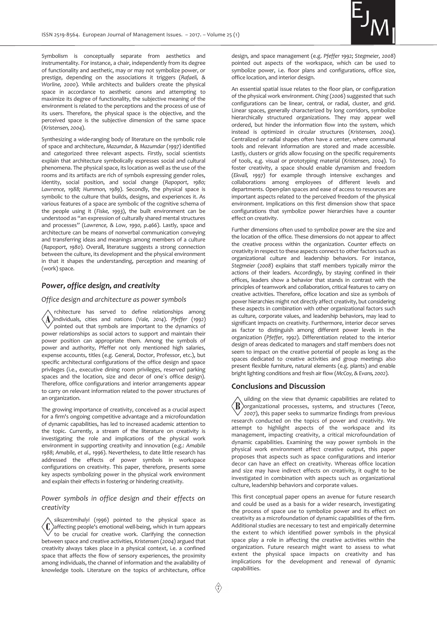

Symbolism is conceptually separate from aesthetics and instrumentality. For instance, a chair, independently from its degree of functionality and aesthetic, may or may not symbolize power, or prestige, depending on the associations it triggers (*Rafaeli, & Worline, 2000*). While architects and builders create the physical space in accordance to aesthetic *canons* and attempting to maximize its degree of functionality, the subjective meaning of the environment is related to the perceptions and the process of use of its users. Therefore, the physical space is the objective, and the perceived space is the subjective dimension of the same space (*Kristensen, 2004*).

Synthesizing a wide-ranging body of literature on the symbolic role of space and architecture, *Mazumdar, & Mazumdar* (*1997*) identified and categorized three relevant aspects. Firstly, social scientists explain that architecture symbolically expresses social and cultural phenomena. The physical space, its location as well as the use of the rooms and its artifacts are rich of symbols expressing gender roles, identity, social position, and social change (*Rapoport, 1980; Lawrence, 1988; Hummon, 1989*). Secondly, the physical space is symbolic to the culture that builds, designs, and experiences it. As various features of a space are symbolic of the cognitive schema of the people using it (*Fiske, 1993*), the built environment can be understood as "an expression of culturally shared mental structures and processes" (*Lawrence, & Low, 1990, p.466*). Lastly, space and architecture can be means of nonverbal communication conveying and transferring ideas and meanings among members of a culture (*Rapoport, 1980*). Overall, literature suggests a strong connection between the culture, its development and the physical environment in that it shapes the understanding, perception and meaning of (work) space.

## *Power, office design, and creativity*

*Office design and architecture as power symbols* 

rchitecture has served to define relationships among individuals, cities and nations (*Vale, 2014*). *Pfeffer* (*1992*) pointed out that symbols are important to the dynamics of power relationships as social actors to support and maintain their power position can appropriate them. Among the symbols of power and authority, Pfeffer not only mentioned high salaries, expense accounts, titles (e.g. General, Doctor, Professor, etc.), but specific architectural configurations of the office design and space privileges (i.e., executive dining room privileges, reserved parking spaces and the location, size and decor of one´s office design). Therefore, office configurations and interior arrangements appear to carry on relevant information related to the power structures of an organization.

The growing importance of creativity, conceived as a crucial aspect for a firm's ongoing competitive advantage and a microfoundation of dynamic capabilities, has led to increased academic attention to the topic. Currently, a stream of the literature on creativity is investigating the role and implications of the physical work environment in supporting creativity and innovation (e.g.: *Amabile 1988*; *Amabile, et al., 1996*). Nevertheless, to date little research has addressed the effects of power symbols in workspace configurations on creativity. This paper, therefore, presents some key aspects symbolizing power in the physical work environment and explain their effects in fostering or hindering creativity.

## *Power symbols in office design and their effects on creativity*

*sikszentmihalyi* (*1996*) pointed to the physical space as  $\langle \text{\bf 0} \rangle$ affecting people's emotional well-being, which in turn appears to be crucial for creative work. Clarifying the connection between space and creative activities, *Kristensen* (*2004*) argued that creativity always takes place in a physical context, i.e. a confined space that affects the flow of sensory experiences, the proximity among individuals, the channel of information and the availability of knowledge tools. Literature on the topics of architecture, office

design, and space management (e.g. *Pfeffer 1992*; *Stegmeier, 2008*) pointed out aspects of the workspace, which can be used to symbolize power, i.e. floor plans and configurations, office size, office location, and interior design.

An essential spatial issue relates to the floor plan, or configuration of the physical work environment. *Ching* (*2006*) suggested that such configurations can be linear, central, or radial, cluster, and grid. Linear spaces, generally characterized by long corridors, symbolize hierarchically structured organizations. They may appear well ordered, but hinder the information flow into the system, which instead is optimized in circular structures (*Kristensen, 2004*). Centralized or radial shapes often have a center, where communal tools and relevant information are stored and made accessible. Lastly, clusters or grids allow focusing on the specific requirements of tools, e.g. visual or prototyping material (*Kristensen, 2004*). To foster creativity, a space should enable dynamism and freedom (*Ekvall, 1997*) for example through intensive exchanges and collaborations among employees of different levels and departments. Open-plan spaces and ease of access to resources are important aspects related to the perceived freedom of the physical environment. Implications on this first dimension show that space configurations that symbolize power hierarchies have a counter effect on creativity.

Further dimensions often used to symbolize power are the size and the location of the office. These dimensions do not appear to affect the creative process within the organization. Counter effects on creativity in respect to these aspects connect to other factors such as organizational culture and leadership behaviors. For instance, *Stegmeier* (*2008*) explains that staff members typically mirror the actions of their leaders. Accordingly, by staying confined in their offices, leaders show a behavior that stands in contrast with the principles of teamwork and collaboration, critical features to carry on creative activities. Therefore, office location and size as symbols of power hierarchies might not directly affect creativity, but considering these aspects in combination with other organizational factors such as culture, corporate values, and leadership behaviors, may lead to significant impacts on creativity. Furthermore, interior decor serves as factor to distinguish among different power levels in the organization (*Pfeffer, 1992*). Differentiation related to the interior design of areas dedicated to managers and staff members does not seem to impact on the creative potential of people as long as the spaces dedicated to creative activities and group meetings also present flexible furniture, natural elements (e.g. plants) and enable bright lighting conditions and fresh air flow (*McCoy, & Evans, 2002*).

### **Conclusions and Discussion**

uilding on the view that dynamic capabilities are related to  $\langle \text{B}\rangle$ organizational processes, systems, and structures (*Teece, 2007*), this paper seeks to summarize findings from previous research conducted on the topics of power and creativity. We attempt to highlight aspects of the workspace and its management, impacting creativity, a critical microfoundation of dynamic capabilities. Examining the way power symbols in the physical work environment affect creative output, this paper proposes that aspects such as space configurations and interior decor can have an effect on creativity. Whereas office location and size may have indirect effects on creativity, it ought to be investigated in combination with aspects such as organizational culture, leadership behaviors and corporate values.

This first conceptual paper opens an avenue for future research and could be used as a basis for a wider research, investigating the process of space use to symbolize power and its effect on creativity as a microfoundation of dynamic capabilities of the firm. Additional studies are necessary to test and empirically determine the extent to which identified power symbols in the physical space play a role in affecting the creative activities within the organization. Future research might want to assess to what extent the physical space impacts on creativity and has implications for the development and renewal of dynamic capabilities.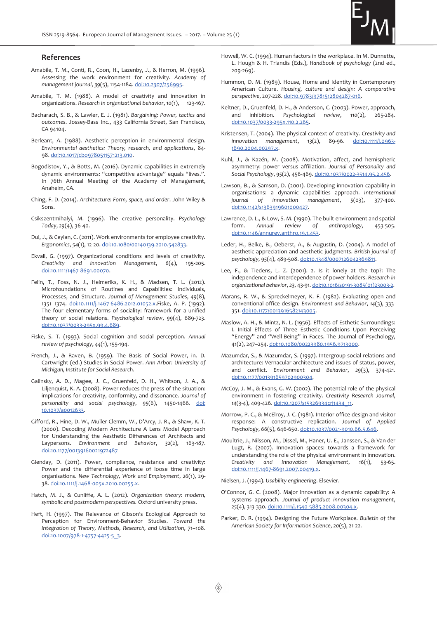

#### **References**

- Amabile, T. M., Conti, R., Coon, H., Lazenby, J., & Herron, M. (1996). Assessing the work environment for creativity. *Academy of management journal*, *39*(5), 1154-1184. doi:10.2307/256995.
- Amabile, T. M. (1988). A model of creativity and innovation in organizations. *Research in organizational behavior*, *10*(1), 123-167.
- Bacharach, S. B., & Lawler, E. J. (1981). *Bargaining: Power, tactics and outcomes*. Jossey-Bass Inc., 433 California Street, San Francisco, CA 94104.
- Berleant, A. (1988). Aesthetic perception in environmental design. *Environmental aesthetics: Theory, research, and applications*, 84- 98. doi:10.1017/cbo9780511571213.010.
- Bogodistov, Y., & Botts, M. (2016). Dynamic capabilities in extremely dynamic environments: "competitive advantage" equals "lives.". In 76th Annual Meeting of the Academy of Management, Anaheim, CA.
- Ching, F. D. (2014). *Architecture: Form, space, and order*. John Wiley & Sons.
- Csikszentmihalyi, M. (1996). The creative personality. *Psychology Today*, *29*(4), 36-40.
- Dul, J., & Ceylan, C. (2011). Work environments for employee creativity. *Ergonomics*, *54*(1), 12-20. doi:10.1080/00140139.2010.542833.
- Ekvall, G. (1997). Organizational conditions and levels of creativity. *Creativity and innovation Management*, *6*(4), 195-205. doi:10.1111/1467-8691.00070.
- Felin, T., Foss, N. J., Heimeriks, K. H., & Madsen, T. L. (2012). Microfoundations of Routines and Capabilities: Individuals, Processes, and Structure. *Journal of Management Studies*, *49*(8), 1351–1374. doi:10.1111/j.1467-6486.2012.01052.x.Fiske, A. P. (1992). The four elementary forms of sociality: framework for a unified theory of social relations. *Psychological review*, *99*(4), 689-723. doi:10.1037/0033-295x.99.4.689.
- Fiske, S. T. (1993). Social cognition and social perception. *Annual review of psychology*, *44*(1), 155-194.
- French, J., & Raven, B. (1959). The Basis of Social Power, in. D. Cartwright (ed.) Studies in Social Power. *Ann Arbor: University of Michigan, Institute for Social Research*.
- Galinsky, A. D., Magee, J. C., Gruenfeld, D. H., Whitson, J. A., & Liljenquist, K. A. (2008). Power reduces the press of the situation: implications for creativity, conformity, and dissonance. *Journal of personality and social psychology*, *95*(6), 1450-1466. doi: 10.1037/a0012633.
- Gifford, R., Hine, D. W., Muller-Clemm, W., D'Arcy, J. R., & Shaw, K. T. (2000). Decoding Modern Architecture A Lens Model Approach for Understanding the Aesthetic Differences of Architects and Laypersons. *Environment and Behavior*, *32*(2), 163-187. doi:10.1177/00139160021972487
- Glenday, D. (2011). Power, compliance, resistance and creativity: Power and the differential experience of loose time in large organisations. *New Technology, Work and Employment*, *26*(1), 29- 38. doi:10.1111/j.1468-005x.2010.00255.x.
- Hatch, M. J., & Cunliffe, A. L. (2012). *Organization theory: modern, symbolic and postmodern perspectives.* Oxford university press.
- Heft, H. (1997). The Relevance of Gibson's Ecological Approach to Perception for Environment-Behavior Studies. *Toward the Integration of Theory, Methods, Research, and Utilization*, 71–108. doi:10.1007/978-1-4757-4425-5\_3.
- Howell, W. C. (1994). Human factors in the workplace. In M. Dunnette, L. Hough & H. Triandis (Eds.), *Handbook of psychology* (2nd ed., 209-269).
- Hummon, D. M. (1989). House, Home and Identity in Contemporary American Culture. *Housing, culture and design: A comparative perspective*, 207-228. doi:10.9783/9781512804287-016.
- Keltner, D., Gruenfeld, D. H., & Anderson, C. (2003). Power, approach, and inhibition. *Psychological review*, *110*(2), 265-284. doi:10.1037/0033-295x.110.2.265.
- Kristensen, T. (2004). The physical context of creativity. *Creativity and innovation management*, *13*(2), 89-96. doi:10.1111/j.0963- 1690.2004.00297.x.
- Kuhl, J., & Kazén, M. (2008). Motivation, affect, and hemispheric asymmetry: power versus affiliation. *Journal of Personality and Social Psychology*, *95*(2), 456-469. doi:10.1037/0022-3514.95.2.456.
- Lawson, B., & Samson, D. (2001). Developing innovation capability in organisations: a dynamic capabilities approach. *International journal of innovation management*, *5*(03), 377-400. doi:10.1142/s1363919601000427.
- Lawrence, D. L., & Low, S. M. (1990). The built environment and spatial form. *Annual review of anthropology*, 453-505. doi:10.1146/annurev.anthro.19.1.453.
- Leder, H., Belke, B., Oeberst, A., & Augustin, D. (2004). A model of aesthetic appreciation and aesthetic judgments. *British journal of psychology*, *95*(4), 489-508. doi:10.1348/0007126042369811.
- Lee, F., & Tiedens, L. Z. (2001). 2. Is it lonely at the top?: The independence and interdependence of power holders. *Research in organizational behavior*, *23*, 43-91. doi:10.1016/s0191-3085(01)23003-2.
- Marans, R. W., & Spreckelmeyer, K. F. (1982). Evaluating open and conventional office design. *Environment and Behavior*, *14*(3), 333- 351. doi:10.1177/0013916582143005.
- Maslow, A. H., & Mintz, N. L. (1956). Effects of Esthetic Surroundings: I. Initial Effects of Three Esthetic Conditions Upon Perceiving "Energy" and "Well-Being" in Faces. The Journal of Psychology, 41(2), 247–254. doi:10.1080/00223980.1956.9713000.
- Mazumdar, S., & Mazumdar, S. (1997). Intergroup social relations and architecture: Vernacular architecture and issues of status, power, and conflict. *Environment and Behavior*, *29*(3), 374-421. doi:10.1177/001391659702900304.
- McCoy, J. M., & Evans, G. W. (2002). The potential role of the physical environment in fostering creativity. *Creativity Research Journal*, *14*(3-4), 409-426. doi:10.1207/s15326934crj1434\_11.
- Morrow, P. C., & McElroy, J. C. (1981). Interior office design and visitor response: A constructive replication. *Journal of Applied Psychology*, *66*(5), 646-650. doi:10.1037/0021-9010.66.5.646.
- Moultrie, J., Nilsson, M., Dissel, M., Haner, U. E., Janssen, S., & Van der Lugt, R. (2007). Innovation spaces: towards a framework for understanding the role of the physical environment in innovation. *Creativity and Innovation Management*, *16*(1), 53-65. doi:10.1111/j.1467-8691.2007.00419.x.

Nielsen, J. (1994). *Usability engineering*. Elsevier.

- O'Connor, G. C. (2008). Major innovation as a dynamic capability: A systems approach. *Journal of product innovation management*, *25*(4), 313-330. doi:10.1111/j.1540-5885.2008.00304.x.
- Parker, D. R. (1994). Designing the Future Workplace. *Bulletin of the American Society for Information Science*, *20*(5), 21-22.